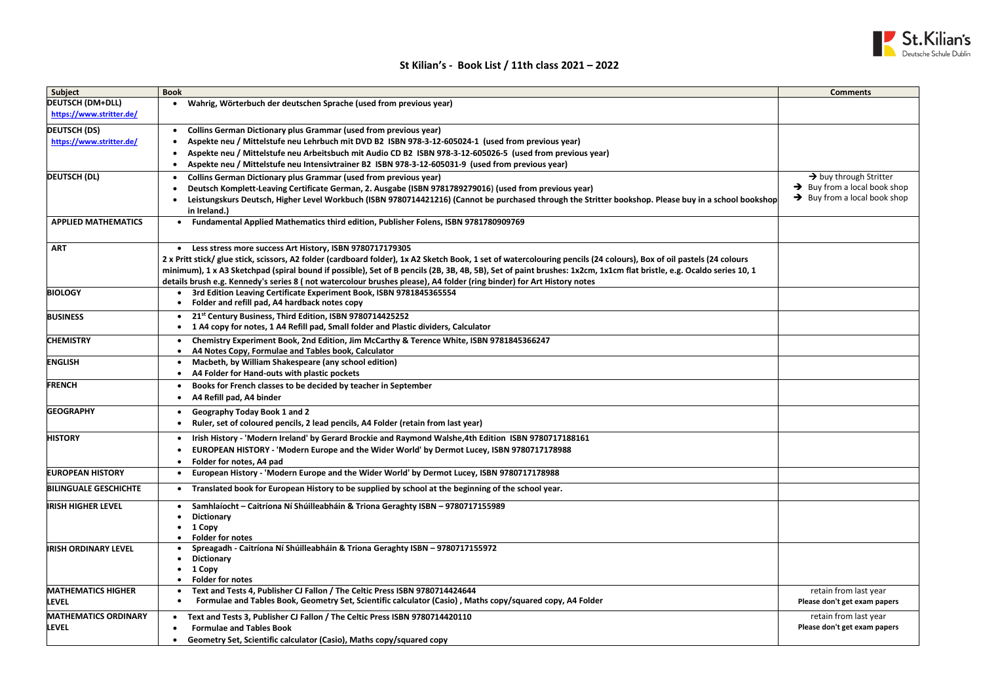| Subject                      | <b>Book</b>                                                                                                                                                          | <b>Comments</b>                |
|------------------------------|----------------------------------------------------------------------------------------------------------------------------------------------------------------------|--------------------------------|
| <b>DEUTSCH (DM+DLL)</b>      | Wahrig, Wörterbuch der deutschen Sprache (used from previous year)                                                                                                   |                                |
| https://www.stritter.de/     |                                                                                                                                                                      |                                |
| <b>DEUTSCH (DS)</b>          | <b>Collins German Dictionary plus Grammar (used from previous year)</b>                                                                                              |                                |
| https://www.stritter.de/     | Aspekte neu / Mittelstufe neu Lehrbuch mit DVD B2 ISBN 978-3-12-605024-1 (used from previous year)                                                                   |                                |
|                              | Aspekte neu / Mittelstufe neu Arbeitsbuch mit Audio CD B2 ISBN 978-3-12-605026-5 (used from previous year)                                                           |                                |
|                              | Aspekte neu / Mittelstufe neu Intensivtrainer B2 ISBN 978-3-12-605031-9 (used from previous year)                                                                    |                                |
| <b>DEUTSCH (DL)</b>          | <b>Collins German Dictionary plus Grammar (used from previous year)</b>                                                                                              | $\rightarrow$ buy through S    |
|                              | Deutsch Komplett-Leaving Certificate German, 2. Ausgabe (ISBN 9781789279016) (used from previous year)                                                               | $\rightarrow$ Buy from a local |
|                              | Leistungskurs Deutsch, Higher Level Workbuch (ISBN 9780714421216) (Cannot be purchased through the Stritter bookshop. Please buy in a school bookshop                | $\rightarrow$ Buy from a local |
|                              | in Ireland.)                                                                                                                                                         |                                |
| <b>APPLIED MATHEMATICS</b>   | Fundamental Applied Mathematics third edition, Publisher Folens, ISBN 9781780909769                                                                                  |                                |
|                              | $\bullet$                                                                                                                                                            |                                |
| <b>ART</b>                   | • Less stress more success Art History, ISBN 9780717179305                                                                                                           |                                |
|                              | 2 x Pritt stick/ glue stick, scissors, A2 folder (cardboard folder), 1x A2 Sketch Book, 1 set of watercolouring pencils (24 colours), Box of oil pastels (24 colours |                                |
|                              | minimum), 1 x A3 Sketchpad (spiral bound if possible), Set of B pencils (2B, 3B, 4B, 5B), Set of paint brushes: 1x2cm, 1x1cm flat bristle, e.g. Ocaldo series 10, 1  |                                |
|                              | details brush e.g. Kennedy's series 8 (not watercolour brushes please), A4 folder (ring binder) for Art History notes                                                |                                |
| <b>BIOLOGY</b>               | 3rd Edition Leaving Certificate Experiment Book, ISBN 9781845365554                                                                                                  |                                |
|                              | Folder and refill pad, A4 hardback notes copy                                                                                                                        |                                |
| <b>BUSINESS</b>              | 21st Century Business, Third Edition, ISBN 9780714425252                                                                                                             |                                |
|                              | 1 A4 copy for notes, 1 A4 Refill pad, Small folder and Plastic dividers, Calculator                                                                                  |                                |
| <b>CHEMISTRY</b>             | Chemistry Experiment Book, 2nd Edition, Jim McCarthy & Terence White, ISBN 9781845366247                                                                             |                                |
|                              | A4 Notes Copy, Formulae and Tables book, Calculator                                                                                                                  |                                |
| <b>ENGLISH</b>               | Macbeth, by William Shakespeare (any school edition)                                                                                                                 |                                |
|                              | A4 Folder for Hand-outs with plastic pockets                                                                                                                         |                                |
| <b>FRENCH</b>                | Books for French classes to be decided by teacher in September                                                                                                       |                                |
|                              | A4 Refill pad, A4 binder                                                                                                                                             |                                |
|                              |                                                                                                                                                                      |                                |
| <b>GEOGRAPHY</b>             | <b>Geography Today Book 1 and 2</b>                                                                                                                                  |                                |
|                              | Ruler, set of coloured pencils, 2 lead pencils, A4 Folder (retain from last year)                                                                                    |                                |
| <b>HISTORY</b>               | Irish History - 'Modern Ireland' by Gerard Brockie and Raymond Walshe, 4th Edition ISBN 9780717188161                                                                |                                |
|                              | EUROPEAN HISTORY - 'Modern Europe and the Wider World' by Dermot Lucey, ISBN 9780717178988<br>$\bullet$                                                              |                                |
|                              | Folder for notes, A4 pad                                                                                                                                             |                                |
| <b>EUROPEAN HISTORY</b>      | European History - 'Modern Europe and the Wider World' by Dermot Lucey, ISBN 9780717178988                                                                           |                                |
| <b>BILINGUALE GESCHICHTE</b> | Translated book for European History to be supplied by school at the beginning of the school year.                                                                   |                                |
| <b>IRISH HIGHER LEVEL</b>    | Samhlaíocht - Caitríona Ní Shúilleabháin & Triona Geraghty ISBN - 9780717155989                                                                                      |                                |
|                              | <b>Dictionary</b>                                                                                                                                                    |                                |
|                              | 1 Copy                                                                                                                                                               |                                |
|                              | <b>Folder for notes</b>                                                                                                                                              |                                |
| <b>IRISH ORDINARY LEVEL</b>  | Spreagadh - Caitríona Ní Shúilleabháin & Triona Geraghty ISBN - 9780717155972                                                                                        |                                |
|                              | <b>Dictionary</b>                                                                                                                                                    |                                |
|                              | 1 Copy                                                                                                                                                               |                                |
| <b>MATHEMATICS HIGHER</b>    | <b>Folder for notes</b><br>Text and Tests 4, Publisher CJ Fallon / The Celtic Press ISBN 9780714424644                                                               | retain from last               |
| <b>LEVEL</b>                 | Formulae and Tables Book, Geometry Set, Scientific calculator (Casio), Maths copy/squared copy, A4 Folder                                                            | Please don't get exan          |
|                              |                                                                                                                                                                      |                                |
| <b>MATHEMATICS ORDINARY</b>  | Text and Tests 3, Publisher CJ Fallon / The Celtic Press ISBN 9780714420110                                                                                          | retain from last               |
| <b>LEVEL</b>                 | <b>Formulae and Tables Book</b>                                                                                                                                      | Please don't get exan          |
|                              | Geometry Set, Scientific calculator (Casio), Maths copy/squared copy                                                                                                 |                                |

|              | <b>Comments</b>                                                                                                   |  |  |
|--------------|-------------------------------------------------------------------------------------------------------------------|--|--|
|              |                                                                                                                   |  |  |
|              |                                                                                                                   |  |  |
| I bookshop   | $\rightarrow$ buy through Stritter<br>Buy from a local book shop<br>→<br>$\rightarrow$ Buy from a local book shop |  |  |
|              |                                                                                                                   |  |  |
| urs<br>10, 1 |                                                                                                                   |  |  |
|              |                                                                                                                   |  |  |
|              |                                                                                                                   |  |  |
|              |                                                                                                                   |  |  |
|              |                                                                                                                   |  |  |
|              |                                                                                                                   |  |  |
|              |                                                                                                                   |  |  |
|              |                                                                                                                   |  |  |
|              |                                                                                                                   |  |  |
|              |                                                                                                                   |  |  |
|              |                                                                                                                   |  |  |
|              |                                                                                                                   |  |  |
|              | retain from last year<br>Please don't get exam papers                                                             |  |  |
|              | retain from last year<br>Please don't get exam papers                                                             |  |  |